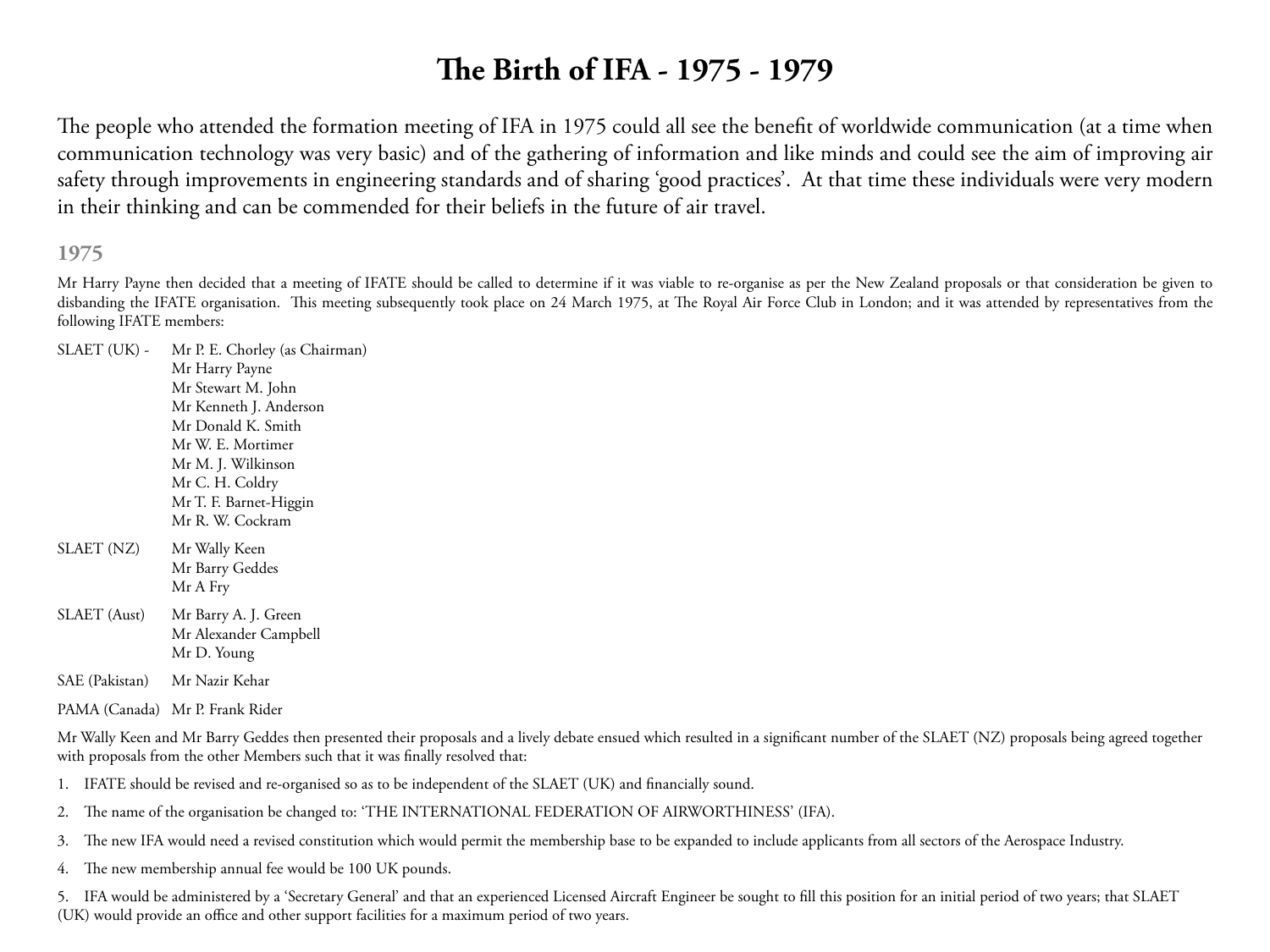# **The Birth of IFA - 1975 - 1979**

The people who attended the formation meeting of IFA in 1975 could all see the benefit of worldwide communication (at a time when communication technology was very basic) and of the gathering of information and like minds and could see the aim of improving air safety through improvements in engineering standards and of sharing 'good practices'. At that time these individuals were very modern in their thinking and can be commended for their beliefs in the future of air travel.

**1975**

Mr Harry Payne then decided that a meeting of IFATE should be called to determine if it was viable to re-organise as per the New Zealand proposals or that consideration be given to disbanding the IFATE organisation. This meeting subsequently took place on 24 March 1975, at The Royal Air Force Club in London; and it was attended by representatives from the following IFATE members:

SLAET (UK) - Mr P. E. Chorley (as Chairman) Mr Harry Payne Mr Stewart M. John Mr Kenneth J. Anderson Mr Donald K. Smith Mr W. E. Mortimer Mr M. J. Wilkinson Mr C. H. Coldry Mr T. F. Barnet-Higgin Mr R. W. Cockram SLAET (NZ) Mr Wally Keen Mr Barry Geddes Mr A Fry SLAET (Aust) Mr Barry A. J. Green Mr Alexander Campbell Mr D. Young

SAE (Pakistan) Mr Nazir Kehar

PAMA (Canada) Mr P. Frank Rider

Mr Wally Keen and Mr Barry Geddes then presented their proposals and a lively debate ensued which resulted in a significant number of the SLAET (NZ) proposals being agreed together with proposals from the other Members such that it was finally resolved that:

- 1. IFATE should be revised and re-organised so as to be independent of the SLAET (UK) and financially sound.
- 2. The name of the organisation be changed to: 'THE INTERNATIONAL FEDERATION OF AIRWORTHINESS' (IFA).
- 3. The new IFA would need a revised constitution which would permit the membership base to be expanded to include applicants from all sectors of the Aerospace Industry.
- 4. The new membership annual fee would be 100 UK pounds.

5. IFA would be administered by a 'Secretary General' and that an experienced Licensed Aircraft Engineer be sought to fill this position for an initial period of two years; that SLAET (UK) would provide an office and other support facilities for a maximum period of two years.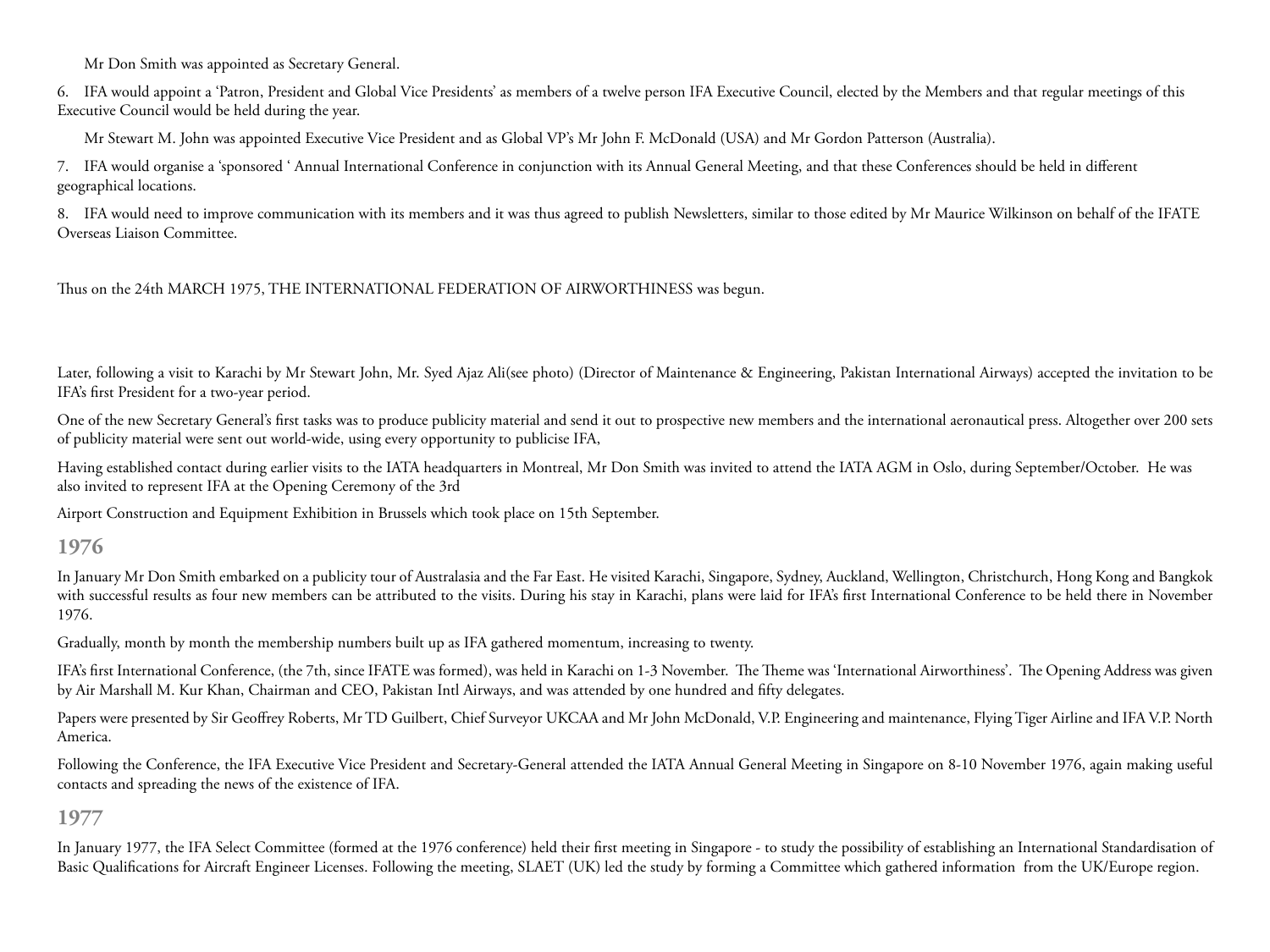Mr Don Smith was appointed as Secretary General.

6. IFA would appoint a 'Patron, President and Global Vice Presidents' as members of a twelve person IFA Executive Council, elected by the Members and that regular meetings of this Executive Council would be held during the year.

Mr Stewart M. John was appointed Executive Vice President and as Global VP's Mr John F. McDonald (USA) and Mr Gordon Patterson (Australia).

7. IFA would organise a 'sponsored ' Annual International Conference in conjunction with its Annual General Meeting, and that these Conferences should be held in different geographical locations.

8. IFA would need to improve communication with its members and it was thus agreed to publish Newsletters, similar to those edited by Mr Maurice Wilkinson on behalf of the IFATE Overseas Liaison Committee.

Thus on the 24th MARCH 1975, THE INTERNATIONAL FEDERATION OF AIRWORTHINESS was begun.

Later, following a visit to Karachi by Mr Stewart John, Mr. Syed Ajaz Ali(see photo) (Director of Maintenance & Engineering, Pakistan International Airways) accepted the invitation to be IFA's first President for a two-year period.

One of the new Secretary General's first tasks was to produce publicity material and send it out to prospective new members and the international aeronautical press. Altogether over 200 sets of publicity material were sent out world-wide, using every opportunity to publicise IFA,

Having established contact during earlier visits to the IATA headquarters in Montreal, Mr Don Smith was invited to attend the IATA AGM in Oslo, during September/October. He was also invited to represent IFA at the Opening Ceremony of the 3rd

Airport Construction and Equipment Exhibition in Brussels which took place on 15th September.

## **1976**

In January Mr Don Smith embarked on a publicity tour of Australasia and the Far East. He visited Karachi, Singapore, Sydney, Auckland, Wellington, Christchurch, Hong Kong and Bangkok with successful results as four new members can be attributed to the visits. During his stay in Karachi, plans were laid for IFA's first International Conference to be held there in November 1976.

Gradually, month by month the membership numbers built up as IFA gathered momentum, increasing to twenty.

IFA's first International Conference, (the 7th, since IFATE was formed), was held in Karachi on 1-3 November. The Theme was 'International Airworthiness'. The Opening Address was given by Air Marshall M. Kur Khan, Chairman and CEO, Pakistan Intl Airways, and was attended by one hundred and fifty delegates.

Papers were presented by Sir Geoffrey Roberts, Mr TD Guilbert, Chief Surveyor UKCAA and Mr John McDonald, V.P. Engineering and maintenance, Flying Tiger Airline and IFA V.P. North America.

Following the Conference, the IFA Executive Vice President and Secretary-General attended the IATA Annual General Meeting in Singapore on 8-10 November 1976, again making useful contacts and spreading the news of the existence of IFA.

## **1977**

In January 1977, the IFA Select Committee (formed at the 1976 conference) held their first meeting in Singapore - to study the possibility of establishing an International Standardisation of Basic Qualifications for Aircraft Engineer Licenses. Following the meeting, SLAET (UK) led the study by forming a Committee which gathered information from the UK/Europe region.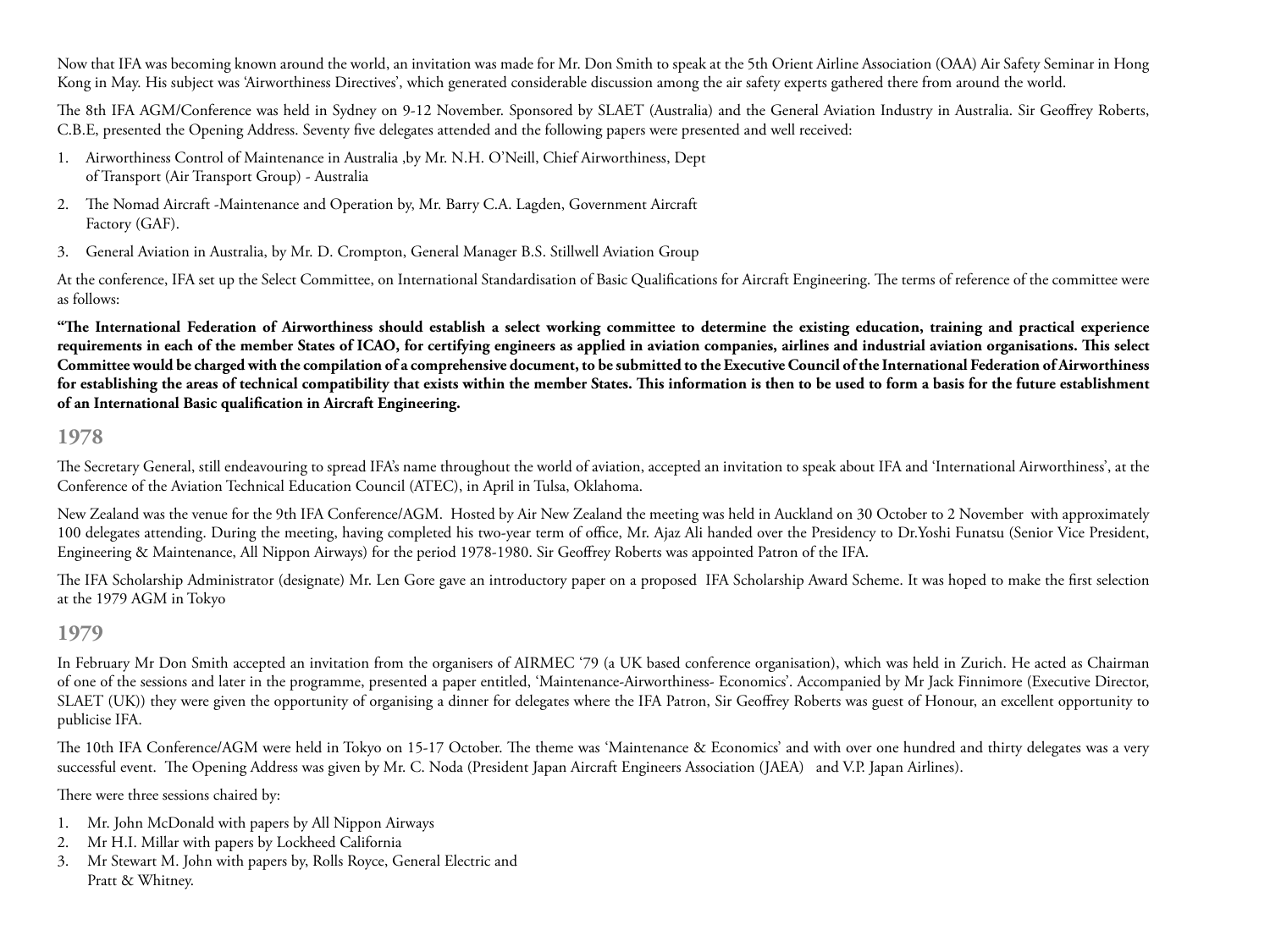Now that IFA was becoming known around the world, an invitation was made for Mr. Don Smith to speak at the 5th Orient Airline Association (OAA) Air Safety Seminar in Hong Kong in May. His subject was 'Airworthiness Directives', which generated considerable discussion among the air safety experts gathered there from around the world.

The 8th IFA AGM/Conference was held in Sydney on 9-12 November. Sponsored by SLAET (Australia) and the General Aviation Industry in Australia. Sir Geoffrey Roberts, C.B.E, presented the Opening Address. Seventy five delegates attended and the following papers were presented and well received:

- 1. Airworthiness Control of Maintenance in Australia ,by Mr. N.H. O'Neill, Chief Airworthiness, Dept of Transport (Air Transport Group) - Australia
- 2. The Nomad Aircraft -Maintenance and Operation by, Mr. Barry C.A. Lagden, Government Aircraft Factory (GAF).
- 3. General Aviation in Australia, by Mr. D. Crompton, General Manager B.S. Stillwell Aviation Group

At the conference, IFA set up the Select Committee, on International Standardisation of Basic Qualifications for Aircraft Engineering. The terms of reference of the committee were as follows:

**"The International Federation of Airworthiness should establish a select working committee to determine the existing education, training and practical experience requirements in each of the member States of ICAO, for certifying engineers as applied in aviation companies, airlines and industrial aviation organisations. This select Committee would be charged with the compilation of a comprehensive document, to be submitted to the Executive Council of the International Federation of Airworthiness for establishing the areas of technical compatibility that exists within the member States. This information is then to be used to form a basis for the future establishment of an International Basic qualification in Aircraft Engineering.**

### **1978**

The Secretary General, still endeavouring to spread IFA's name throughout the world of aviation, accepted an invitation to speak about IFA and 'International Airworthiness', at the Conference of the Aviation Technical Education Council (ATEC), in April in Tulsa, Oklahoma.

New Zealand was the venue for the 9th IFA Conference/AGM. Hosted by Air New Zealand the meeting was held in Auckland on 30 October to 2 November with approximately 100 delegates attending. During the meeting, having completed his two-year term of office, Mr. Ajaz Ali handed over the Presidency to Dr.Yoshi Funatsu (Senior Vice President, Engineering & Maintenance, All Nippon Airways) for the period 1978-1980. Sir Geoffrey Roberts was appointed Patron of the IFA.

The IFA Scholarship Administrator (designate) Mr. Len Gore gave an introductory paper on a proposed IFA Scholarship Award Scheme. It was hoped to make the first selection at the 1979 AGM in Tokyo

#### **1979**

In February Mr Don Smith accepted an invitation from the organisers of AIRMEC '79 (a UK based conference organisation), which was held in Zurich. He acted as Chairman of one of the sessions and later in the programme, presented a paper entitled, 'Maintenance-Airworthiness- Economics'. Accompanied by Mr Jack Finnimore (Executive Director, SLAET (UK)) they were given the opportunity of organising a dinner for delegates where the IFA Patron, Sir Geoffrey Roberts was guest of Honour, an excellent opportunity to publicise IFA.

The 10th IFA Conference/AGM were held in Tokyo on 15-17 October. The theme was 'Maintenance & Economics' and with over one hundred and thirty delegates was a very successful event. The Opening Address was given by Mr. C. Noda (President Japan Aircraft Engineers Association (JAEA) and V.P. Japan Airlines).

There were three sessions chaired by:

- 1. Mr. John McDonald with papers by All Nippon Airways
- 2. Mr H.I. Millar with papers by Lockheed California
- 3. Mr Stewart M. John with papers by, Rolls Royce, General Electric and Pratt & Whitney.